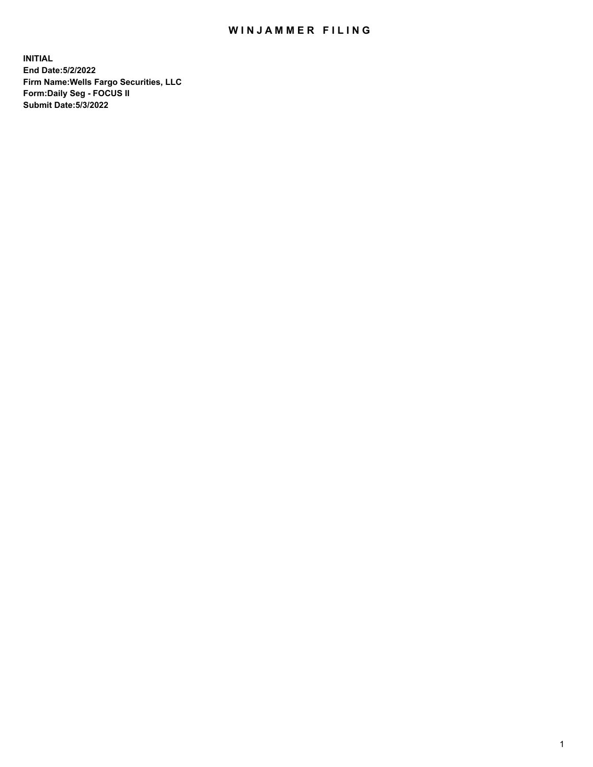## WIN JAMMER FILING

**INITIAL End Date:5/2/2022 Firm Name:Wells Fargo Securities, LLC Form:Daily Seg - FOCUS II Submit Date:5/3/2022**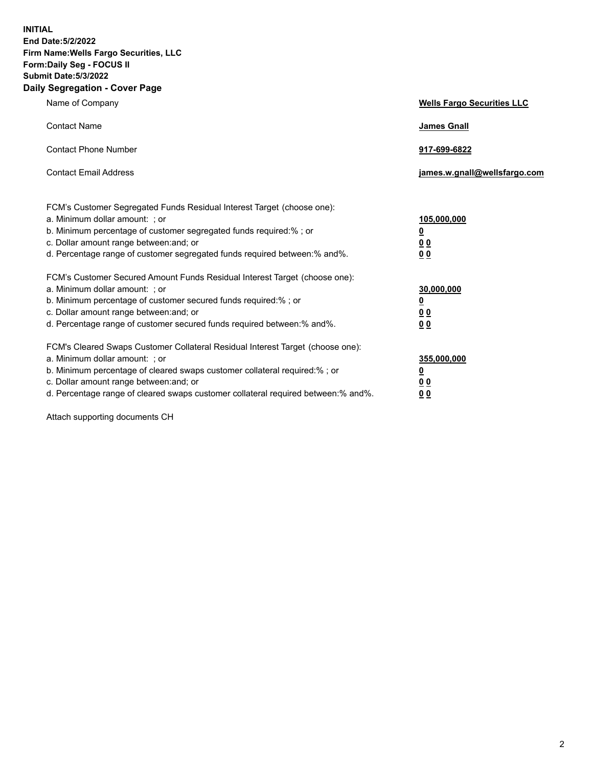**INITIAL End Date:5/2/2022 Firm Name:Wells Fargo Securities, LLC Form:Daily Seg - FOCUS II Submit Date:5/3/2022 Daily Segregation - Cover Page**

| Name of Company                                                                                                  | <b>Wells Fargo Securities LLC</b> |
|------------------------------------------------------------------------------------------------------------------|-----------------------------------|
| <b>Contact Name</b>                                                                                              | <b>James Gnall</b>                |
|                                                                                                                  |                                   |
| <b>Contact Phone Number</b>                                                                                      | 917-699-6822                      |
|                                                                                                                  |                                   |
| <b>Contact Email Address</b>                                                                                     | james.w.gnall@wellsfargo.com      |
|                                                                                                                  |                                   |
| FCM's Customer Segregated Funds Residual Interest Target (choose one):                                           |                                   |
| a. Minimum dollar amount: ; or                                                                                   | 105,000,000                       |
| b. Minimum percentage of customer segregated funds required:% ; or                                               | <u>0</u>                          |
| c. Dollar amount range between: and; or                                                                          | 00                                |
| d. Percentage range of customer segregated funds required between:% and%.                                        | 00                                |
| FCM's Customer Secured Amount Funds Residual Interest Target (choose one):                                       |                                   |
| a. Minimum dollar amount: ; or                                                                                   | 30,000,000                        |
| b. Minimum percentage of customer secured funds required:%; or                                                   | <u>0</u>                          |
| c. Dollar amount range between: and; or                                                                          | 00                                |
| d. Percentage range of customer secured funds required between: % and %.                                         | 0 <sub>0</sub>                    |
|                                                                                                                  |                                   |
| FCM's Cleared Swaps Customer Collateral Residual Interest Target (choose one):<br>a. Minimum dollar amount: ; or | 355,000,000                       |
| b. Minimum percentage of cleared swaps customer collateral required:% ; or                                       | <u>0</u>                          |
| c. Dollar amount range between: and; or                                                                          | <u>00</u>                         |
| d. Percentage range of cleared swaps customer collateral required between:% and%.                                | 00                                |
|                                                                                                                  |                                   |

Attach supporting documents CH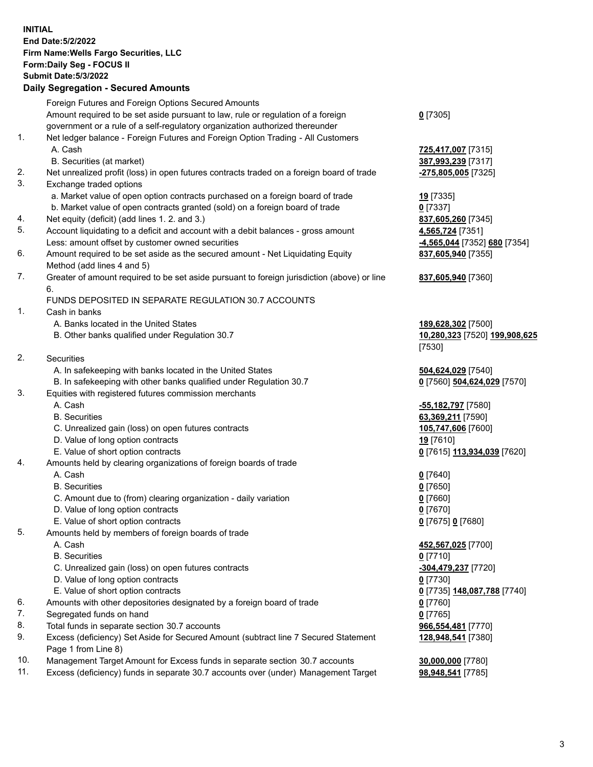**INITIAL End Date:5/2/2022 Firm Name:Wells Fargo Securities, LLC Form:Daily Seg - FOCUS II Submit Date:5/3/2022 Daily Segregation - Secured Amounts** Foreign Futures and Foreign Options Secured Amounts Amount required to be set aside pursuant to law, rule or regulation of a foreign government or a rule of a self-regulatory organization authorized thereunder **0** [7305] 1. Net ledger balance - Foreign Futures and Foreign Option Trading - All Customers A. Cash **725,417,007** [7315] B. Securities (at market) **387,993,239** [7317] 2. Net unrealized profit (loss) in open futures contracts traded on a foreign board of trade **-275,805,005** [7325] 3. Exchange traded options a. Market value of open option contracts purchased on a foreign board of trade **19** [7335] b. Market value of open contracts granted (sold) on a foreign board of trade **0** [7337] 4. Net equity (deficit) (add lines 1. 2. and 3.) **837,605,260** [7345] 5. Account liquidating to a deficit and account with a debit balances - gross amount **4,565,724** [7351] Less: amount offset by customer owned securities **-4,565,044** [7352] **680** [7354] 6. Amount required to be set aside as the secured amount - Net Liquidating Equity Method (add lines 4 and 5) **837,605,940** [7355] 7. Greater of amount required to be set aside pursuant to foreign jurisdiction (above) or line 6. **837,605,940** [7360] FUNDS DEPOSITED IN SEPARATE REGULATION 30.7 ACCOUNTS 1. Cash in banks A. Banks located in the United States **189,628,302** [7500] B. Other banks qualified under Regulation 30.7 **10,280,323** [7520] **199,908,625** [7530] 2. Securities A. In safekeeping with banks located in the United States **504,624,029** [7540] B. In safekeeping with other banks qualified under Regulation 30.7 **0** [7560] **504,624,029** [7570] 3. Equities with registered futures commission merchants A. Cash **-55,182,797** [7580] B. Securities **63,369,211** [7590] C. Unrealized gain (loss) on open futures contracts **105,747,606** [7600] D. Value of long option contracts **19** [7610] E. Value of short option contracts **0** [7615] **113,934,039** [7620] 4. Amounts held by clearing organizations of foreign boards of trade A. Cash **0** [7640] B. Securities **0** [7650] C. Amount due to (from) clearing organization - daily variation **0** [7660] D. Value of long option contracts **0** [7670] E. Value of short option contracts **0** [7675] **0** [7680] 5. Amounts held by members of foreign boards of trade A. Cash **452,567,025** [7700] B. Securities **0** [7710] C. Unrealized gain (loss) on open futures contracts **-304,479,237** [7720] D. Value of long option contracts **0** [7730] E. Value of short option contracts **0** [7735] **148,087,788** [7740] 6. Amounts with other depositories designated by a foreign board of trade **0** [7760] 7. Segregated funds on hand **0** [7765] 8. Total funds in separate section 30.7 accounts **966,554,481** [7770] 9. Excess (deficiency) Set Aside for Secured Amount (subtract line 7 Secured Statement Page 1 from Line 8)

- 10. Management Target Amount for Excess funds in separate section 30.7 accounts **30,000,000** [7780]
- 11. Excess (deficiency) funds in separate 30.7 accounts over (under) Management Target **98,948,541** [7785]

**128,948,541** [7380]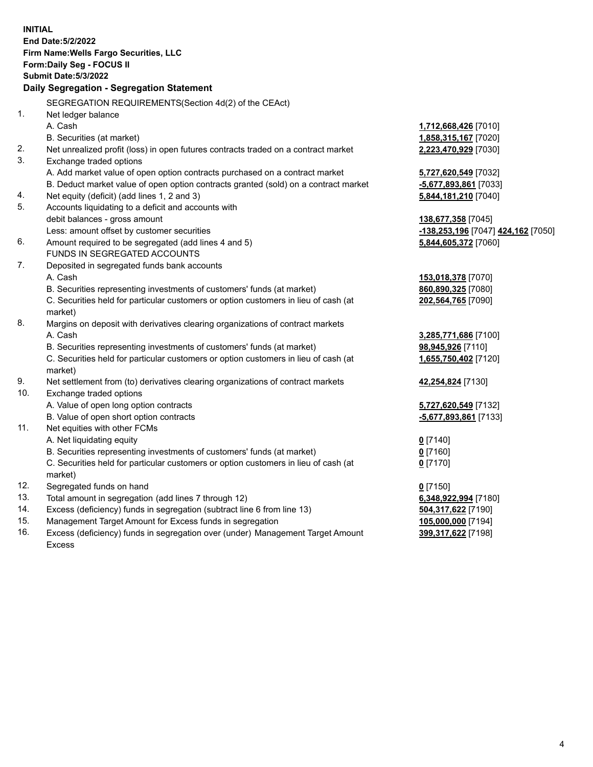|     | <b>INITIAL</b><br>End Date: 5/2/2022<br>Firm Name: Wells Fargo Securities, LLC<br>Form: Daily Seg - FOCUS II<br><b>Submit Date: 5/3/2022</b> |                                    |
|-----|----------------------------------------------------------------------------------------------------------------------------------------------|------------------------------------|
|     | Daily Segregation - Segregation Statement                                                                                                    |                                    |
|     | SEGREGATION REQUIREMENTS(Section 4d(2) of the CEAct)                                                                                         |                                    |
| 1.  | Net ledger balance                                                                                                                           |                                    |
|     | A. Cash                                                                                                                                      | 1,712,668,426 [7010]               |
|     | B. Securities (at market)                                                                                                                    | 1,858,315,167 [7020]               |
| 2.  | Net unrealized profit (loss) in open futures contracts traded on a contract market                                                           | 2,223,470,929 [7030]               |
| 3.  | Exchange traded options                                                                                                                      |                                    |
|     | A. Add market value of open option contracts purchased on a contract market                                                                  | 5,727,620,549 [7032]               |
|     | B. Deduct market value of open option contracts granted (sold) on a contract market                                                          | -5,677,893,861 [7033]              |
| 4.  | Net equity (deficit) (add lines 1, 2 and 3)                                                                                                  | 5,844,181,210 [7040]               |
| 5.  | Accounts liquidating to a deficit and accounts with                                                                                          |                                    |
|     | debit balances - gross amount                                                                                                                | 138,677,358 [7045]                 |
|     | Less: amount offset by customer securities                                                                                                   | -138,253,196 [7047] 424,162 [7050] |
| 6.  | Amount required to be segregated (add lines 4 and 5)                                                                                         | 5,844,605,372 [7060]               |
|     | FUNDS IN SEGREGATED ACCOUNTS                                                                                                                 |                                    |
| 7.  | Deposited in segregated funds bank accounts                                                                                                  |                                    |
|     | A. Cash                                                                                                                                      | 153,018,378 [7070]                 |
|     | B. Securities representing investments of customers' funds (at market)                                                                       | 860,890,325 [7080]                 |
|     | C. Securities held for particular customers or option customers in lieu of cash (at<br>market)                                               | 202,564,765 [7090]                 |
| 8.  | Margins on deposit with derivatives clearing organizations of contract markets                                                               |                                    |
|     | A. Cash                                                                                                                                      | 3,285,771,686 [7100]               |
|     | B. Securities representing investments of customers' funds (at market)                                                                       | 98,945,926 [7110]                  |
|     | C. Securities held for particular customers or option customers in lieu of cash (at<br>market)                                               | 1,655,750,402 [7120]               |
| 9.  | Net settlement from (to) derivatives clearing organizations of contract markets                                                              | 42,254,824 [7130]                  |
| 10. | Exchange traded options                                                                                                                      |                                    |
|     | A. Value of open long option contracts                                                                                                       | 5,727,620,549 [7132]               |
|     | B. Value of open short option contracts                                                                                                      | -5,677,893,861 [7133]              |
| 11. | Net equities with other FCMs                                                                                                                 |                                    |
|     | A. Net liquidating equity                                                                                                                    | $0$ [7140]                         |
|     | B. Securities representing investments of customers' funds (at market)                                                                       | $0$ [7160]                         |
|     | C. Securities held for particular customers or option customers in lieu of cash (at                                                          | $0$ [7170]                         |
|     | market)                                                                                                                                      |                                    |
| 12. | Segregated funds on hand                                                                                                                     | $0$ [7150]                         |
| 13. | Total amount in segregation (add lines 7 through 12)                                                                                         | 6,348,922,994 [7180]               |
| 14. | Excess (deficiency) funds in segregation (subtract line 6 from line 13)                                                                      | 504,317,622 [7190]                 |
| 15. | Management Target Amount for Excess funds in segregation                                                                                     | 105,000,000 [7194]                 |
| 16. | Excess (deficiency) funds in segregation over (under) Management Target Amount                                                               | 399,317,622 [7198]                 |
|     | Excess                                                                                                                                       |                                    |